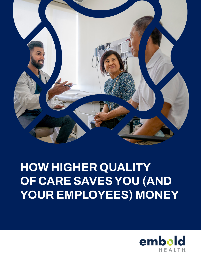

# **HOW HIGHER QUALITY OF CARE SAVES YOU (AND YOUR EMPLOYEES) MONEY**

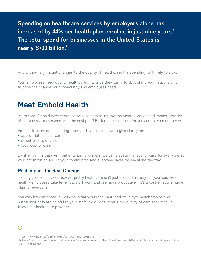**Spending on healthcare services by employers alone has**  increased by 44% per health plan enrollee in just nine years.<sup>1</sup> **The total spend for businesses in the United States is nearly \$700 billion.²**

And without significant changes to the quality of healthcare, the spending isn't likely to slow.

Your employees need quality healthcare at a price they can afford. And it's your responsibility to drive the change your community and employees need.

### **Meet Embold Health**

At its core, Embold powers data-driven insights to improve provider selection and impact provider effectiveness for everyone. And the best part? Better care costs less for you and for your employees.

Embold focuses on measuring the right healthcare data to give clarity on:

- **•** appropriateness of care
- **•** effectiveness of care
- **•** total cost of care

By sharing this data with patients and providers, we can elevate the level of care for everyone at your organization and in your community. And everyone saves money along the way.

#### **Real Impact for Real Change**

Helping your employees receive quality healthcare isn't just a solid strategy for your business healthy employees take fewer days off work and are more productive—it's a cost-effective game plan for everyone.

You may have invested in wellness initiatives in the past, and while gym memberships and nutritionist calls are helpful to your staff, they don't impact the quality of care they receive from their healthcare provider.



<sup>1</sup> https://www.healthaffairs.org/doi/10.1377/hlthaff.2018.0481

<sup>2</sup> https://www.cms.gov/Research-Statistics-Data-and-Systems/Statistics-Trends-and-Reports/NationalHealthExpendData/ NHE-Fact-Sheet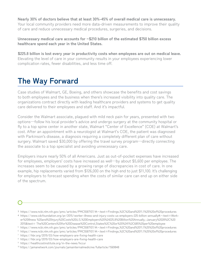**Nearly 30% of doctors believe that at least 30%-45% of overall medical care is unnecessary.** Your local community providers need more data-driven measurements to improve their quality of care and reduce unnecessary medical procedures, surgeries, and decisions.

**Unnecessary medical care accounts for ~\$210 billion of the estimated \$750 billion excess healthcare spend each year in the United States.**

**\$225.8 billion is lost every year in productivity costs when employees are out on medical leave.**  Elevating the level of care in your community results in your employees experiencing lower complication rates, fewer disabilities, and less time off.

## **The Way Forward**

Case studies of Walmart, GE, Boeing, and others showcase the benefits and cost savings to both employees and the business when there's increased visibility into quality care. The organizations contract directly with leading healthcare providers and systems to get quality care delivered to their employees and staff. And it's impactful.

Consider the Walmart associate, plagued with mild neck pain for years, presented with two options—follow his local provider's advice and undergo surgery at the community hospital or fly to a top spine center in another state, Walmart "Center of Excellence" (COE) at Walmart's cost. After an appointment with a neurologist at Walmart's COE, the patient was diagnosed with Parkinson's disease, a diagnosis requiring a completely different plan of care without surgery. Walmart saved \$30,000 by offering the travel survey program—directly connecting the associate to a top specialist and avoiding unnecessary care.

Employers insure nearly 50% of all Americans. Just as out-of-pocket expenses have increased for employees, employers' costs have increased as well—by about \$5,600 per employee. The increases seem to be caused by a growing range of discrepancies in cost of care. In one example, hip replacements varied from \$126,000 on the high end to just \$11,100. It's challenging for employers to forecast spending when the costs of similar care can end up on either side of the spectrum.

³ https://www.ncbi.nlm.nih.gov/pmc/articles/PMC5587107/#:~:text=Findings,%2C%20and%2011.1%25%20of%20procedures

⁴ https://www.cdcfoundation.org/pr/2015/worker-illness-and-injury-costs-us-employers-225-billion-annually#:~:text=Worker%20Illness %20and%20Injury%20Costs%20U.S.%20Employers%20%24225.8%20Billion%20Annually,-January%2028%2C%20 2015&text= The%20Centers%20for%20Disease%20Control,States%2C%20or%20%241%2C685%20per%20employee

<sup>5</sup> https://www.ncbi.nlm.nih.gov/pmc/articles/PMC5587107/#:~:text=Findings,%2C%20and%2011.1%25%20of%20procedures

<sup>6</sup> https://www.ncbi.nlm.nih.gov/pmc/articles/PMC5587107/#:~:text=Findings,%2C%20and%2011.1%25%20of%20procedures

<sup>7</sup> https://hbr.org/2019/03/how-employers-are-fixing-health-care

<sup>8</sup> https://hbr.org/2019/03/how-employers-are-fixing-health-care

<sup>9</sup> https://healthcostinstitute.org/in-the-news/hccur

<sup>10</sup> https://jamanetwork.com/journals/jamainternalmedicine/fullarticle/1569848